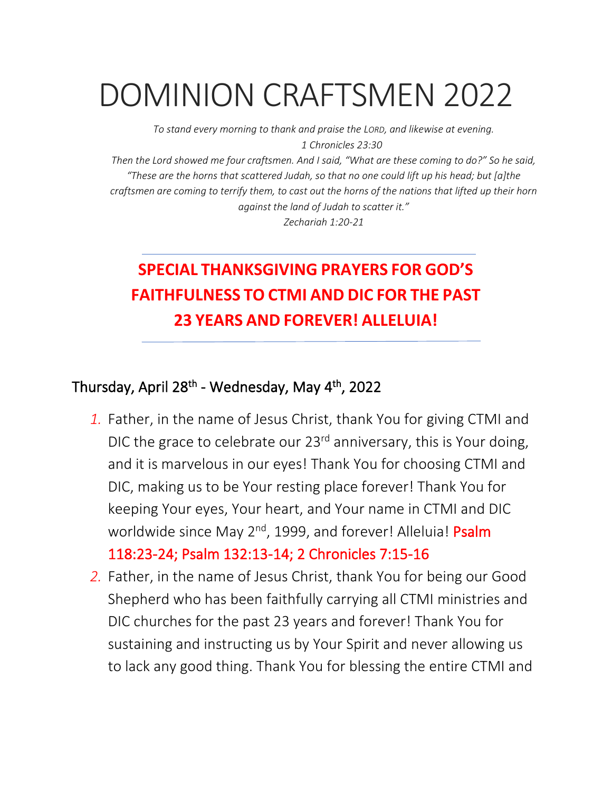# DOMINION CRAFTSMEN 2022

*To stand every morning to thank and praise the LORD, and likewise at evening. 1 Chronicles 23:30*

*Then the Lord showed me four craftsmen. And I said, "What are these coming to do?" So he said, "These are the horns that scattered Judah, so that no one could lift up his head; but [a]the craftsmen are coming to terrify them, to cast out the horns of the nations that lifted up their horn against the land of Judah to scatter it."*

*Zechariah 1:20-21*

## **SPECIAL THANKSGIVING PRAYERS FOR GOD'S FAITHFULNESS TO CTMI AND DIC FOR THE PAST 23 YEARS AND FOREVER! ALLELUIA!**

### Thursday, April 28<sup>th</sup> - Wednesday, May 4<sup>th</sup>, 2022

*1.* Father, in the name of Jesus Christ, thank You for giving CTMI and DIC the grace to celebrate our 23<sup>rd</sup> anniversary, this is Your doing, and it is marvelous in our eyes! Thank You for choosing CTMI and DIC, making us to be Your resting place forever! Thank You for keeping Your eyes, Your heart, and Your name in CTMI and DIC worldwide since May 2<sup>nd</sup>, 1999, and forever! Alleluia! Psalm 118:23-24; Psalm 132:13-14; 2 Chronicles 7:15-16

*2.* Father, in the name of Jesus Christ, thank You for being our Good Shepherd who has been faithfully carrying all CTMI ministries and DIC churches for the past 23 years and forever! Thank You for sustaining and instructing us by Your Spirit and never allowing us to lack any good thing. Thank You for blessing the entire CTMI and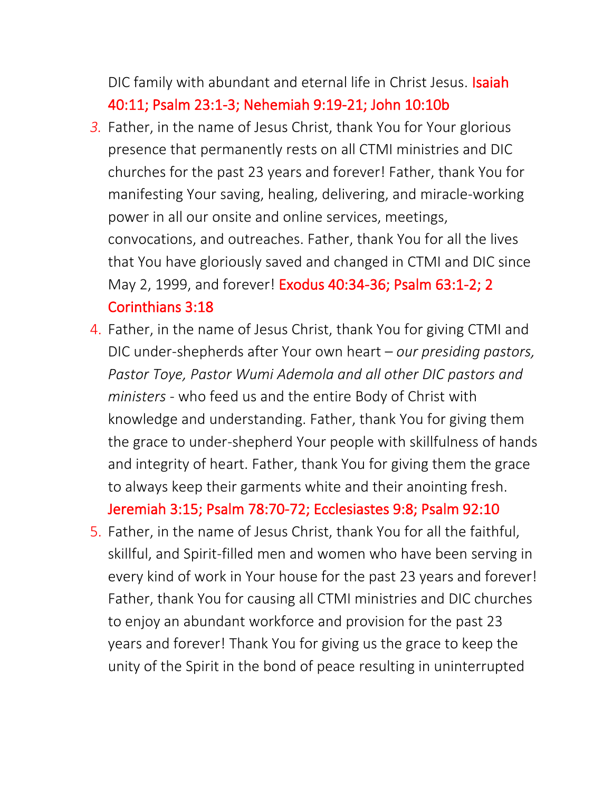DIC family with abundant and eternal life in Christ Jesus. Isaiah 40:11; Psalm 23:1-3; Nehemiah 9:19-21; John 10:10b

- *3.* Father, in the name of Jesus Christ, thank You for Your glorious presence that permanently rests on all CTMI ministries and DIC churches for the past 23 years and forever! Father, thank You for manifesting Your saving, healing, delivering, and miracle-working power in all our onsite and online services, meetings, convocations, and outreaches. Father, thank You for all the lives that You have gloriously saved and changed in CTMI and DIC since May 2, 1999, and forever! Exodus 40:34-36; Psalm 63:1-2; 2 Corinthians 3:18
- 4. Father, in the name of Jesus Christ, thank You for giving CTMI and DIC under-shepherds after Your own heart – *our presiding pastors, Pastor Toye, Pastor Wumi Ademola and all other DIC pastors and ministers -* who feed us and the entire Body of Christ with knowledge and understanding. Father, thank You for giving them the grace to under-shepherd Your people with skillfulness of hands and integrity of heart. Father, thank You for giving them the grace to always keep their garments white and their anointing fresh.

Jeremiah 3:15; Psalm 78:70-72; Ecclesiastes 9:8; Psalm 92:10

5. Father, in the name of Jesus Christ, thank You for all the faithful, skillful, and Spirit-filled men and women who have been serving in every kind of work in Your house for the past 23 years and forever! Father, thank You for causing all CTMI ministries and DIC churches to enjoy an abundant workforce and provision for the past 23 years and forever! Thank You for giving us the grace to keep the unity of the Spirit in the bond of peace resulting in uninterrupted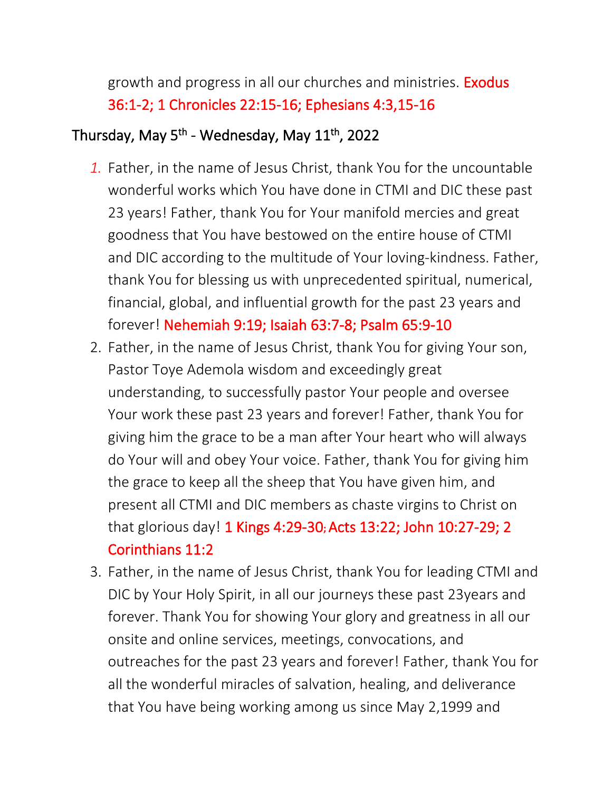growth and progress in all our churches and ministries. **Exodus** 36:1-2; 1 Chronicles 22:15-16; Ephesians 4:3,15-16

### Thursday, May 5<sup>th</sup> - Wednesday, May 11<sup>th</sup>, 2022

- *1.* Father, in the name of Jesus Christ, thank You for the uncountable wonderful works which You have done in CTMI and DIC these past 23 years! Father, thank You for Your manifold mercies and great goodness that You have bestowed on the entire house of CTMI and DIC according to the multitude of Your loving-kindness. Father, thank You for blessing us with unprecedented spiritual, numerical, financial, global, and influential growth for the past 23 years and forever! Nehemiah 9:19; Isaiah 63:7-8; Psalm 65:9-10
- 2. Father, in the name of Jesus Christ, thank You for giving Your son, Pastor Toye Ademola wisdom and exceedingly great understanding, to successfully pastor Your people and oversee Your work these past 23 years and forever! Father, thank You for giving him the grace to be a man after Your heart who will always do Your will and obey Your voice. Father, thank You for giving him the grace to keep all the sheep that You have given him, and present all CTMI and DIC members as chaste virgins to Christ on that glorious day! 1 Kings 4:29-30**;** Acts 13:22; John 10:27-29; 2 Corinthians 11:2
- 3. Father, in the name of Jesus Christ, thank You for leading CTMI and DIC by Your Holy Spirit, in all our journeys these past 23years and forever. Thank You for showing Your glory and greatness in all our onsite and online services, meetings, convocations, and outreaches for the past 23 years and forever! Father, thank You for all the wonderful miracles of salvation, healing, and deliverance that You have being working among us since May 2,1999 and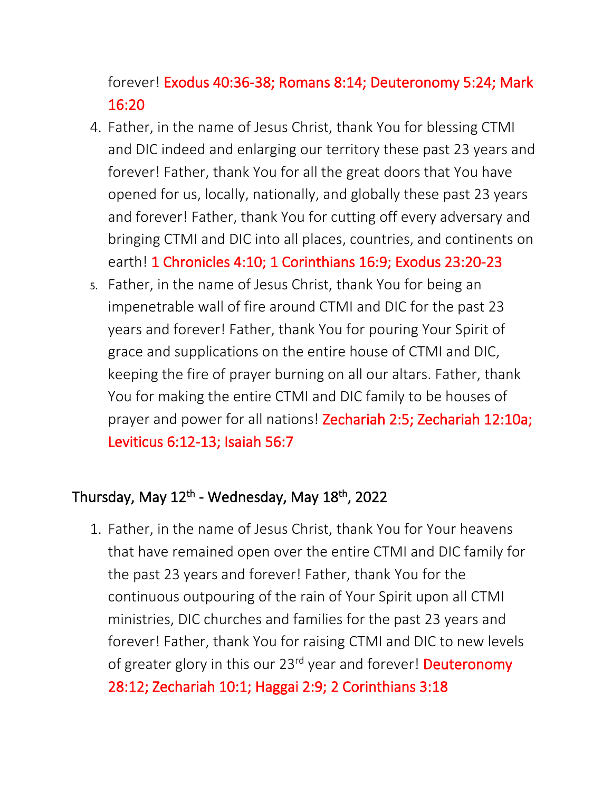forever! Exodus 40:36-38; Romans 8:14; Deuteronomy 5:24; Mark 16:20

- 4. Father, in the name of Jesus Christ, thank You for blessing CTMI and DIC indeed and enlarging our territory these past 23 years and forever! Father, thank You for all the great doors that You have opened for us, locally, nationally, and globally these past 23 years and forever! Father, thank You for cutting off every adversary and bringing CTMI and DIC into all places, countries, and continents on earth! 1 Chronicles 4:10; 1 Corinthians 16:9; Exodus 23:20-23
- 5. Father, in the name of Jesus Christ, thank You for being an impenetrable wall of fire around CTMI and DIC for the past 23 years and forever! Father, thank You for pouring Your Spirit of grace and supplications on the entire house of CTMI and DIC, keeping the fire of prayer burning on all our altars. Father, thank You for making the entire CTMI and DIC family to be houses of prayer and power for all nations! Zechariah 2:5; Zechariah 12:10a; Leviticus 6:12-13; Isaiah 56:7

### Thursday, May 12<sup>th</sup> - Wednesday, May 18<sup>th</sup>, 2022

1. Father, in the name of Jesus Christ, thank You for Your heavens that have remained open over the entire CTMI and DIC family for the past 23 years and forever! Father, thank You for the continuous outpouring of the rain of Your Spirit upon all CTMI ministries, DIC churches and families for the past 23 years and forever! Father, thank You for raising CTMI and DIC to new levels of greater glory in this our 23<sup>rd</sup> year and forever! Deuteronomy 28:12; Zechariah 10:1; Haggai 2:9; 2 Corinthians 3:18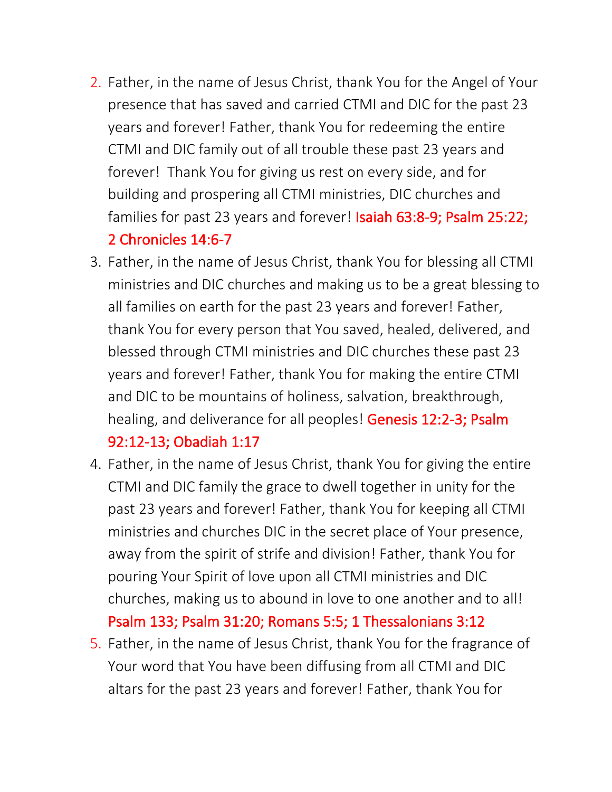- 2. Father, in the name of Jesus Christ, thank You for the Angel of Your presence that has saved and carried CTMI and DIC for the past 23 years and forever! Father, thank You for redeeming the entire CTMI and DIC family out of all trouble these past 23 years and forever! Thank You for giving us rest on every side, and for building and prospering all CTMI ministries, DIC churches and families for past 23 years and forever! Isaiah 63:8-9; Psalm 25:22; 2 Chronicles 14:6-7
- 3. Father, in the name of Jesus Christ, thank You for blessing all CTMI ministries and DIC churches and making us to be a great blessing to all families on earth for the past 23 years and forever! Father, thank You for every person that You saved, healed, delivered, and blessed through CTMI ministries and DIC churches these past 23 years and forever! Father, thank You for making the entire CTMI and DIC to be mountains of holiness, salvation, breakthrough, healing, and deliverance for all peoples! Genesis 12:2-3; Psalm 92:12-13; Obadiah 1:17
- 4. Father, in the name of Jesus Christ, thank You for giving the entire CTMI and DIC family the grace to dwell together in unity for the past 23 years and forever! Father, thank You for keeping all CTMI ministries and churches DIC in the secret place of Your presence, away from the spirit of strife and division! Father, thank You for pouring Your Spirit of love upon all CTMI ministries and DIC churches, making us to abound in love to one another and to all! Psalm 133; Psalm 31:20; Romans 5:5; 1 Thessalonians 3:12
- 5. Father, in the name of Jesus Christ, thank You for the fragrance of Your word that You have been diffusing from all CTMI and DIC altars for the past 23 years and forever! Father, thank You for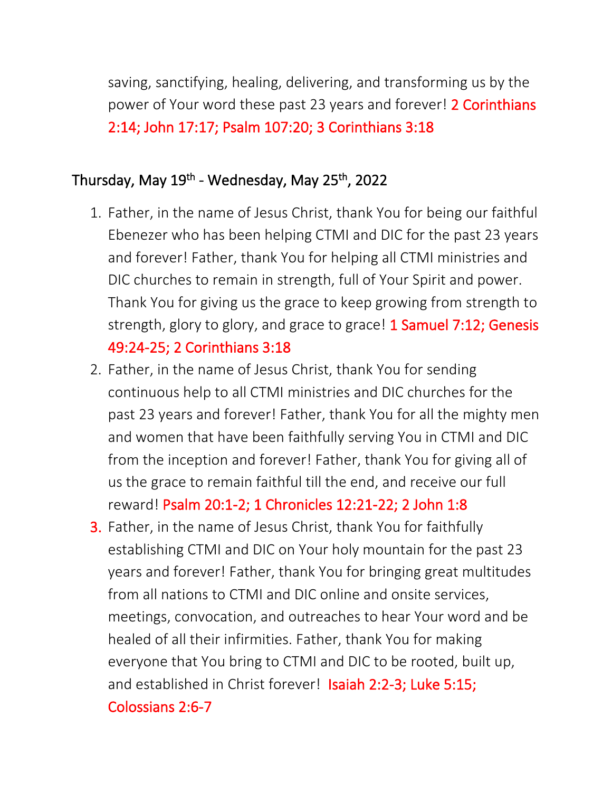saving, sanctifying, healing, delivering, and transforming us by the power of Your word these past 23 years and forever! 2 Corinthians 2:14; John 17:17; Psalm 107:20; 3 Corinthians 3:18

#### Thursday, May 19<sup>th</sup> - Wednesday, May 25<sup>th</sup>, 2022

- 1. Father, in the name of Jesus Christ, thank You for being our faithful Ebenezer who has been helping CTMI and DIC for the past 23 years and forever! Father, thank You for helping all CTMI ministries and DIC churches to remain in strength, full of Your Spirit and power. Thank You for giving us the grace to keep growing from strength to strength, glory to glory, and grace to grace! 1 Samuel 7:12; Genesis 49:24-25; 2 Corinthians 3:18
- 2. Father, in the name of Jesus Christ, thank You for sending continuous help to all CTMI ministries and DIC churches for the past 23 years and forever! Father, thank You for all the mighty men and women that have been faithfully serving You in CTMI and DIC from the inception and forever! Father, thank You for giving all of us the grace to remain faithful till the end, and receive our full reward! Psalm 20:1-2; 1 Chronicles 12:21-22; 2 John 1:8
- 3. Father, in the name of Jesus Christ, thank You for faithfully establishing CTMI and DIC on Your holy mountain for the past 23 years and forever! Father, thank You for bringing great multitudes from all nations to CTMI and DIC online and onsite services, meetings, convocation, and outreaches to hear Your word and be healed of all their infirmities. Father, thank You for making everyone that You bring to CTMI and DIC to be rooted, built up, and established in Christ forever! Isaiah 2:2-3; Luke 5:15; Colossians 2:6-7